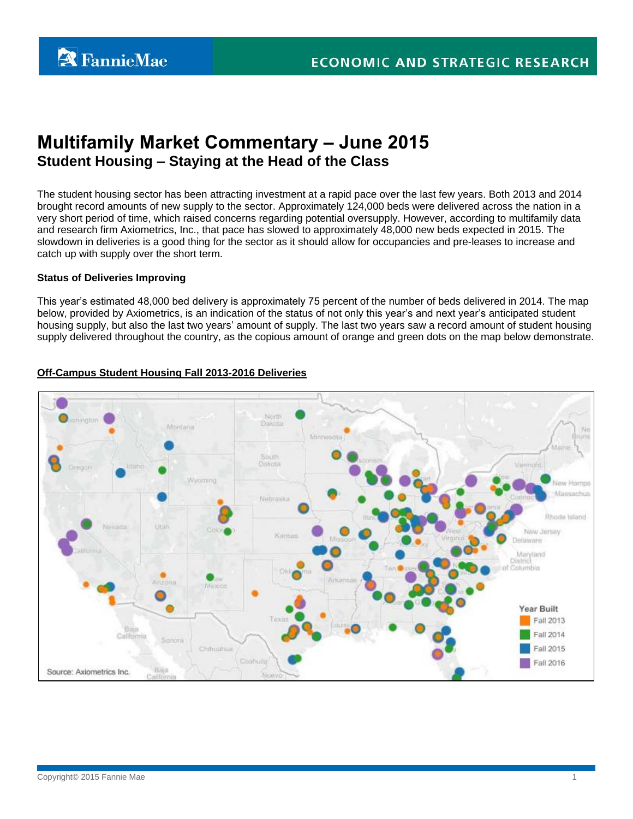# **Multifamily Market Commentary – June 2015 Student Housing – Staying at the Head of the Class**

The student housing sector has been attracting investment at a rapid pace over the last few years. Both 2013 and 2014 brought record amounts of new supply to the sector. Approximately 124,000 beds were delivered across the nation in a very short period of time, which raised concerns regarding potential oversupply. However, according to multifamily data and research firm Axiometrics, Inc., that pace has slowed to approximately 48,000 new beds expected in 2015. The slowdown in deliveries is a good thing for the sector as it should allow for occupancies and pre-leases to increase and catch up with supply over the short term.

#### **Status of Deliveries Improving**

This year's estimated 48,000 bed delivery is approximately 75 percent of the number of beds delivered in 2014. The map below, provided by Axiometrics, is an indication of the status of not only this year's and next year's anticipated student housing supply, but also the last two years' amount of supply. The last two years saw a record amount of student housing supply delivered throughout the country, as the copious amount of orange and green dots on the map below demonstrate.



# **Off-Campus Student Housing Fall 2013-2016 Deliveries**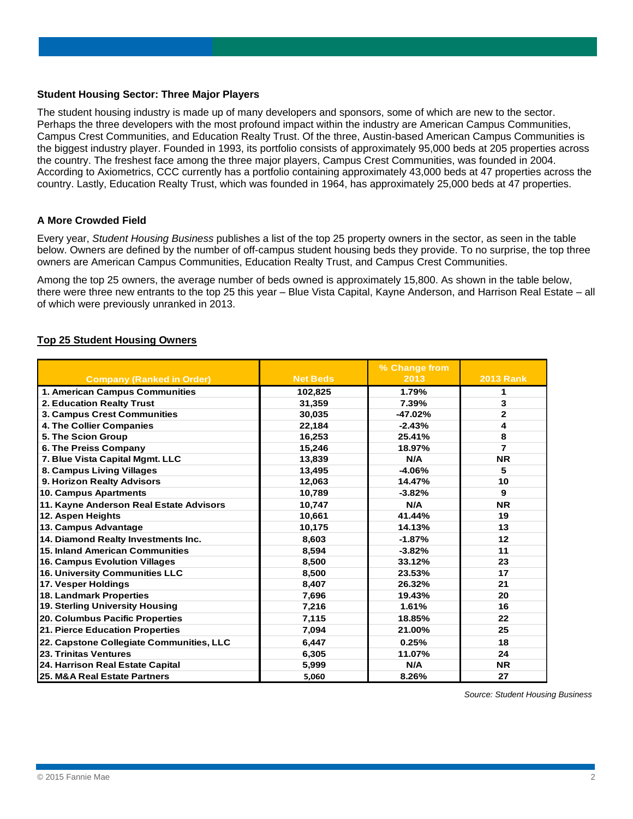#### **Student Housing Sector: Three Major Players**

The student housing industry is made up of many developers and sponsors, some of which are new to the sector. Perhaps the three developers with the most profound impact within the industry are American Campus Communities, Campus Crest Communities, and Education Realty Trust. Of the three, Austin-based American Campus Communities is the biggest industry player. Founded in 1993, its portfolio consists of approximately 95,000 beds at 205 properties across the country. The freshest face among the three major players, Campus Crest Communities, was founded in 2004. According to Axiometrics, CCC currently has a portfolio containing approximately 43,000 beds at 47 properties across the country. Lastly, Education Realty Trust, which was founded in 1964, has approximately 25,000 beds at 47 properties.

#### **A More Crowded Field**

Every year, *Student Housing Business* publishes a list of the top 25 property owners in the sector, as seen in the table below. Owners are defined by the number of off-campus student housing beds they provide. To no surprise, the top three owners are American Campus Communities, Education Realty Trust, and Campus Crest Communities.

Among the top 25 owners, the average number of beds owned is approximately 15,800. As shown in the table below, there were three new entrants to the top 25 this year – Blue Vista Capital, Kayne Anderson, and Harrison Real Estate – all of which were previously unranked in 2013.

#### **Top 25 Student Housing Owners**

|                                          |                 | % Change from |                  |
|------------------------------------------|-----------------|---------------|------------------|
| <b>Company (Ranked in Order)</b>         | <b>Net Beds</b> | 2013          | <b>2013 Rank</b> |
| 1. American Campus Communities           | 102,825         | 1.79%         | 1                |
| 2. Education Realty Trust                | 31,359          | 7.39%         | 3                |
| 3. Campus Crest Communities              | 30.035          | -47.02%       | $\overline{2}$   |
| 4. The Collier Companies                 | 22,184          | $-2.43%$      | 4                |
| 5. The Scion Group                       | 16.253          | 25.41%        | 8                |
| 6. The Preiss Company                    | 15,246          | 18.97%        | 7                |
| 7. Blue Vista Capital Mgmt. LLC          | 13,839          | N/A           | <b>NR</b>        |
| 8. Campus Living Villages                | 13,495          | $-4.06%$      | 5                |
| 9. Horizon Realty Advisors               | 12,063          | 14.47%        | 10               |
| 10. Campus Apartments                    | 10,789          | $-3.82%$      | 9                |
| 11. Kayne Anderson Real Estate Advisors  | 10,747          | N/A           | <b>NR</b>        |
| 12. Aspen Heights                        | 10.661          | 41.44%        | 19               |
| 13. Campus Advantage                     | 10,175          | 14.13%        | 13               |
| 14. Diamond Realty Investments Inc.      | 8,603           | $-1.87%$      | 12               |
| 15. Inland American Communities          | 8,594           | $-3.82%$      | 11               |
| <b>16. Campus Evolution Villages</b>     | 8.500           | 33.12%        | 23               |
| 16. University Communities LLC           | 8,500           | 23.53%        | 17               |
| 17. Vesper Holdings                      | 8.407           | 26.32%        | 21               |
| <b>18. Landmark Properties</b>           | 7,696           | 19.43%        | 20               |
| 19. Sterling University Housing          | 7,216           | 1.61%         | 16               |
| 20. Columbus Pacific Properties          | 7.115           | 18.85%        | 22               |
| 21. Pierce Education Properties          | 7.094           | 21.00%        | 25               |
| 22. Capstone Collegiate Communities, LLC | 6.447           | 0.25%         | 18               |
| 23. Trinitas Ventures                    | 6,305           | 11.07%        | 24               |
| 24. Harrison Real Estate Capital         | 5,999           | N/A           | <b>NR</b>        |
| 25. M&A Real Estate Partners             | 5,060           | 8.26%         | 27               |

*Source: Student Housing Business*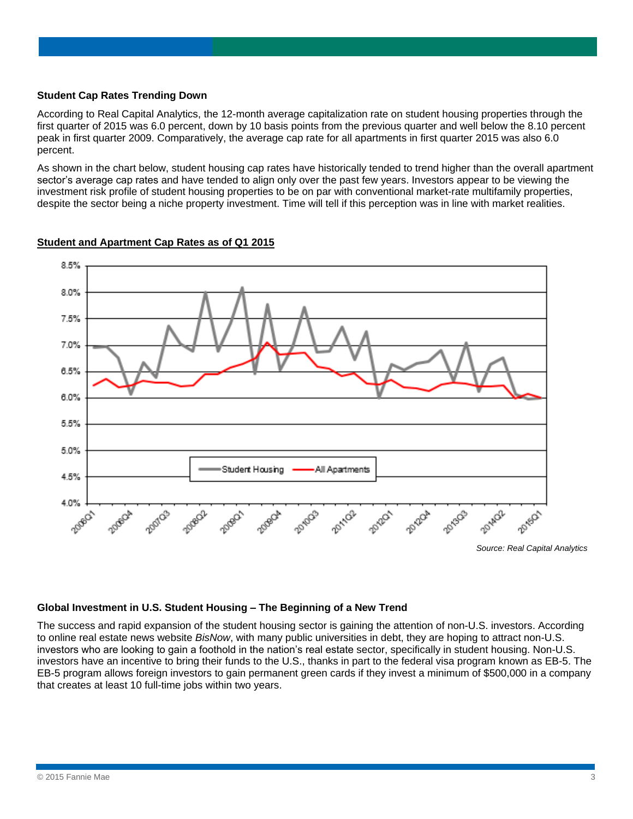#### **Student Cap Rates Trending Down**

According to Real Capital Analytics, the 12-month average capitalization rate on student housing properties through the first quarter of 2015 was 6.0 percent, down by 10 basis points from the previous quarter and well below the 8.10 percent peak in first quarter 2009. Comparatively, the average cap rate for all apartments in first quarter 2015 was also 6.0 percent.

As shown in the chart below, student housing cap rates have historically tended to trend higher than the overall apartment sector's average cap rates and have tended to align only over the past few years. Investors appear to be viewing the investment risk profile of student housing properties to be on par with conventional market-rate multifamily properties, despite the sector being a niche property investment. Time will tell if this perception was in line with market realities.



# **Student and Apartment Cap Rates as of Q1 2015**

#### **Global Investment in U.S. Student Housing – The Beginning of a New Trend**

The success and rapid expansion of the student housing sector is gaining the attention of non-U.S. investors. According to online real estate news website *BisNow*, with many public universities in debt, they are hoping to attract non-U.S. investors who are looking to gain a foothold in the nation's real estate sector, specifically in student housing. Non-U.S. investors have an incentive to bring their funds to the U.S., thanks in part to the federal visa program known as EB-5. The EB-5 program allows foreign investors to gain permanent green cards if they invest a minimum of \$500,000 in a company that creates at least 10 full-time jobs within two years.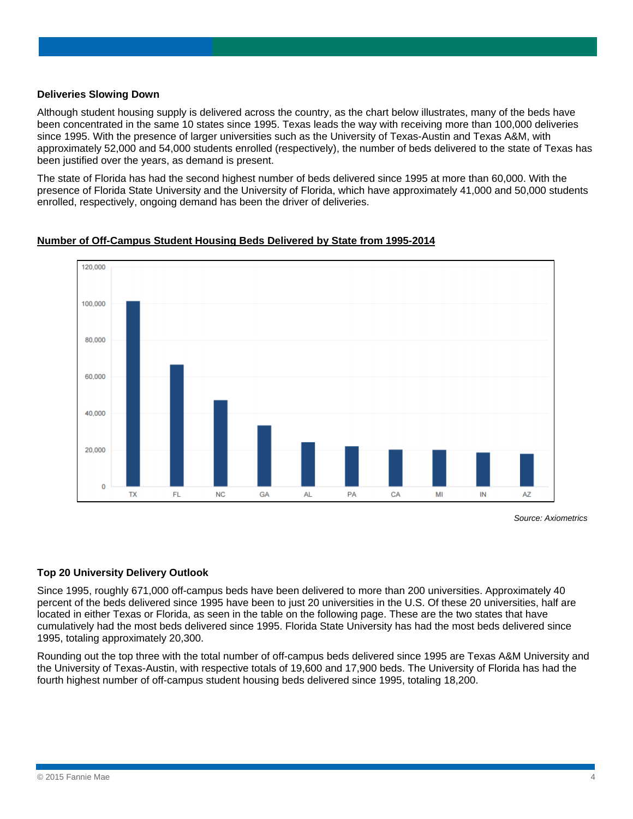#### **Deliveries Slowing Down**

Although student housing supply is delivered across the country, as the chart below illustrates, many of the beds have been concentrated in the same 10 states since 1995. Texas leads the way with receiving more than 100,000 deliveries since 1995. With the presence of larger universities such as the University of Texas-Austin and Texas A&M, with approximately 52,000 and 54,000 students enrolled (respectively), the number of beds delivered to the state of Texas has been justified over the years, as demand is present.

The state of Florida has had the second highest number of beds delivered since 1995 at more than 60,000. With the presence of Florida State University and the University of Florida, which have approximately 41,000 and 50,000 students enrolled, respectively, ongoing demand has been the driver of deliveries.

# 120,000 100,000 80,000 60,000 40,000 20,000  $\mathbf 0$ **TX** FL **NC** GA **AL** PA CA MI IN A7

#### **Number of Off-Campus Student Housing Beds Delivered by State from 1995-2014**

*Source: Axiometrics*

## **Top 20 University Delivery Outlook**

Since 1995, roughly 671,000 off-campus beds have been delivered to more than 200 universities. Approximately 40 percent of the beds delivered since 1995 have been to just 20 universities in the U.S. Of these 20 universities, half are located in either Texas or Florida, as seen in the table on the following page. These are the two states that have cumulatively had the most beds delivered since 1995. Florida State University has had the most beds delivered since 1995, totaling approximately 20,300.

Rounding out the top three with the total number of off-campus beds delivered since 1995 are Texas A&M University and the University of Texas-Austin, with respective totals of 19,600 and 17,900 beds. The University of Florida has had the fourth highest number of off-campus student housing beds delivered since 1995, totaling 18,200.